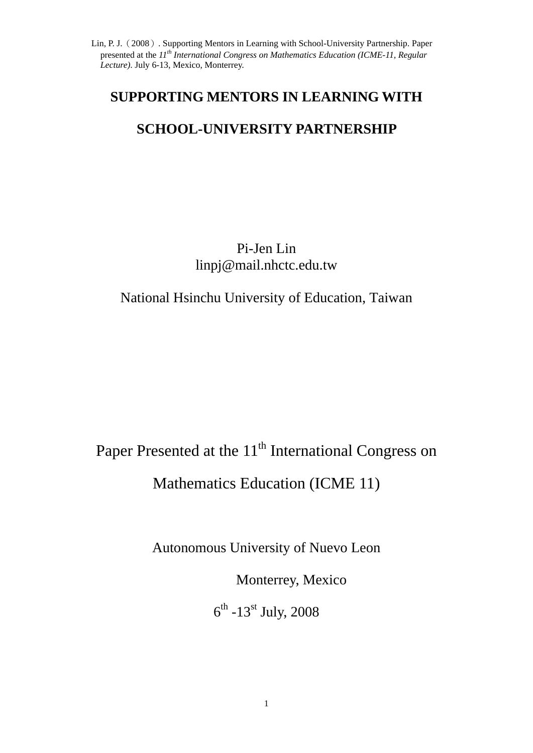# **SUPPORTING MENTORS IN LEARNING WITH**

# **SCHOOL-UNIVERSITY PARTNERSHIP**

Pi-Jen Lin linpj@mail.nhctc.edu.tw

National Hsinchu University of Education, Taiwan

# Paper Presented at the 11<sup>th</sup> International Congress on Mathematics Education (ICME 11)

Autonomous University of Nuevo Leon

Monterrey, Mexico

 $6^{th}$  -13<sup>st</sup> July, 2008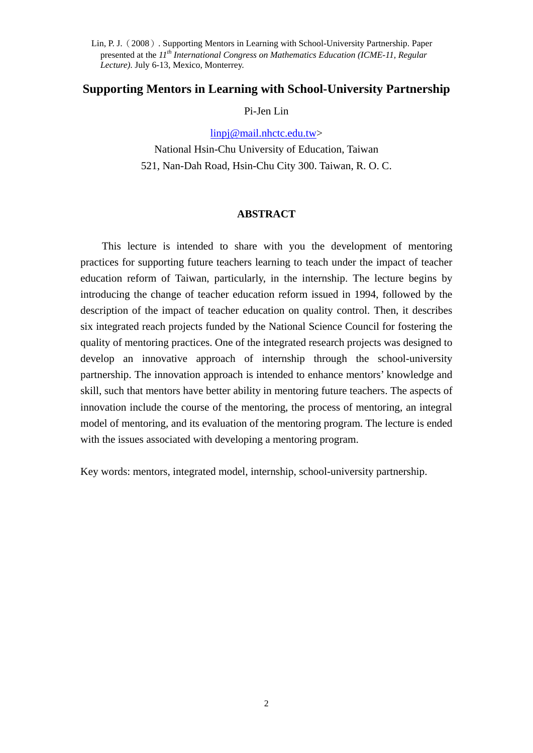### **Supporting Mentors in Learning with School-University Partnership**

#### Pi-Jen Lin

linpj@mail.nhctc.edu.tw>

National Hsin-Chu University of Education, Taiwan 521, Nan-Dah Road, Hsin-Chu City 300. Taiwan, R. O. C.

#### **ABSTRACT**

This lecture is intended to share with you the development of mentoring practices for supporting future teachers learning to teach under the impact of teacher education reform of Taiwan, particularly, in the internship. The lecture begins by introducing the change of teacher education reform issued in 1994, followed by the description of the impact of teacher education on quality control. Then, it describes six integrated reach projects funded by the National Science Council for fostering the quality of mentoring practices. One of the integrated research projects was designed to develop an innovative approach of internship through the school-university partnership. The innovation approach is intended to enhance mentors' knowledge and skill, such that mentors have better ability in mentoring future teachers. The aspects of innovation include the course of the mentoring, the process of mentoring, an integral model of mentoring, and its evaluation of the mentoring program. The lecture is ended with the issues associated with developing a mentoring program.

Key words: mentors, integrated model, internship, school-university partnership.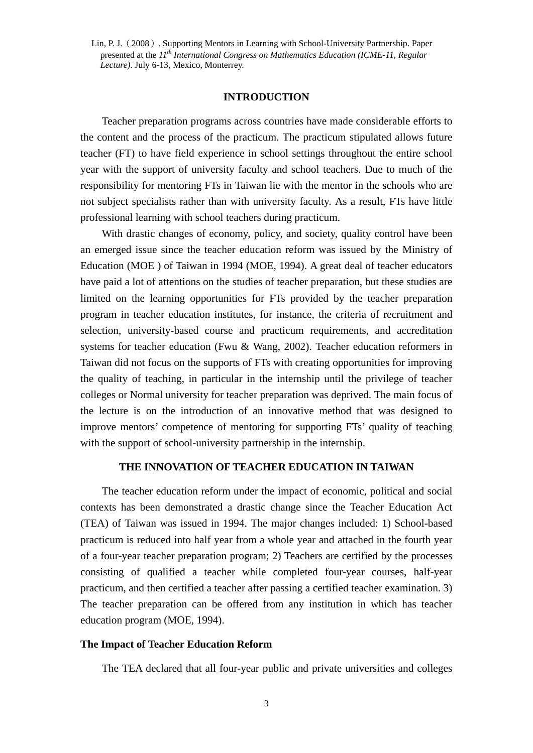#### **INTRODUCTION**

Teacher preparation programs across countries have made considerable efforts to the content and the process of the practicum. The practicum stipulated allows future teacher (FT) to have field experience in school settings throughout the entire school year with the support of university faculty and school teachers. Due to much of the responsibility for mentoring FTs in Taiwan lie with the mentor in the schools who are not subject specialists rather than with university faculty. As a result, FTs have little professional learning with school teachers during practicum.

With drastic changes of economy, policy, and society, quality control have been an emerged issue since the teacher education reform was issued by the Ministry of Education (MOE ) of Taiwan in 1994 (MOE, 1994). A great deal of teacher educators have paid a lot of attentions on the studies of teacher preparation, but these studies are limited on the learning opportunities for FTs provided by the teacher preparation program in teacher education institutes, for instance, the criteria of recruitment and selection, university-based course and practicum requirements, and accreditation systems for teacher education (Fwu & Wang, 2002). Teacher education reformers in Taiwan did not focus on the supports of FTs with creating opportunities for improving the quality of teaching, in particular in the internship until the privilege of teacher colleges or Normal university for teacher preparation was deprived. The main focus of the lecture is on the introduction of an innovative method that was designed to improve mentors' competence of mentoring for supporting FTs' quality of teaching with the support of school-university partnership in the internship.

#### **THE INNOVATION OF TEACHER EDUCATION IN TAIWAN**

The teacher education reform under the impact of economic, political and social contexts has been demonstrated a drastic change since the Teacher Education Act (TEA) of Taiwan was issued in 1994. The major changes included: 1) School-based practicum is reduced into half year from a whole year and attached in the fourth year of a four-year teacher preparation program; 2) Teachers are certified by the processes consisting of qualified a teacher while completed four-year courses, half-year practicum, and then certified a teacher after passing a certified teacher examination. 3) The teacher preparation can be offered from any institution in which has teacher education program (MOE, 1994).

#### **The Impact of Teacher Education Reform**

The TEA declared that all four-year public and private universities and colleges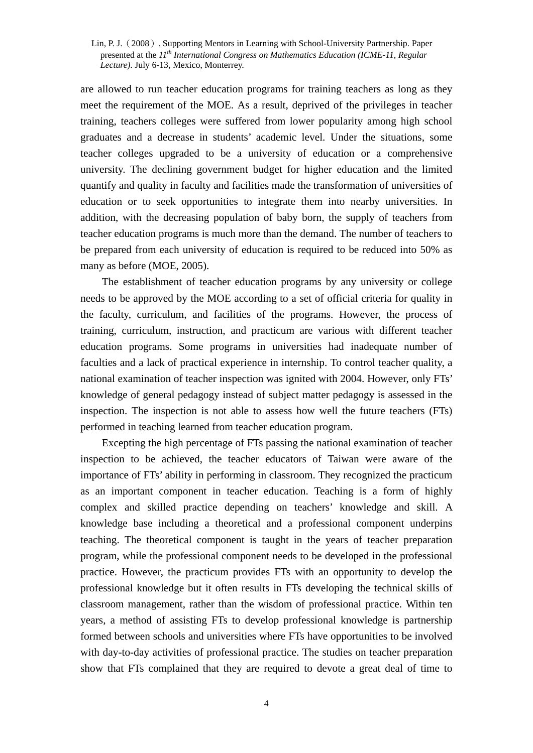are allowed to run teacher education programs for training teachers as long as they meet the requirement of the MOE. As a result, deprived of the privileges in teacher training, teachers colleges were suffered from lower popularity among high school graduates and a decrease in students' academic level. Under the situations, some teacher colleges upgraded to be a university of education or a comprehensive university. The declining government budget for higher education and the limited quantify and quality in faculty and facilities made the transformation of universities of education or to seek opportunities to integrate them into nearby universities. In addition, with the decreasing population of baby born, the supply of teachers from teacher education programs is much more than the demand. The number of teachers to be prepared from each university of education is required to be reduced into 50% as many as before (MOE, 2005).

The establishment of teacher education programs by any university or college needs to be approved by the MOE according to a set of official criteria for quality in the faculty, curriculum, and facilities of the programs. However, the process of training, curriculum, instruction, and practicum are various with different teacher education programs. Some programs in universities had inadequate number of faculties and a lack of practical experience in internship. To control teacher quality, a national examination of teacher inspection was ignited with 2004. However, only FTs' knowledge of general pedagogy instead of subject matter pedagogy is assessed in the inspection. The inspection is not able to assess how well the future teachers (FTs) performed in teaching learned from teacher education program.

Excepting the high percentage of FTs passing the national examination of teacher inspection to be achieved, the teacher educators of Taiwan were aware of the importance of FTs' ability in performing in classroom. They recognized the practicum as an important component in teacher education. Teaching is a form of highly complex and skilled practice depending on teachers' knowledge and skill. A knowledge base including a theoretical and a professional component underpins teaching. The theoretical component is taught in the years of teacher preparation program, while the professional component needs to be developed in the professional practice. However, the practicum provides FTs with an opportunity to develop the professional knowledge but it often results in FTs developing the technical skills of classroom management, rather than the wisdom of professional practice. Within ten years, a method of assisting FTs to develop professional knowledge is partnership formed between schools and universities where FTs have opportunities to be involved with day-to-day activities of professional practice. The studies on teacher preparation show that FTs complained that they are required to devote a great deal of time to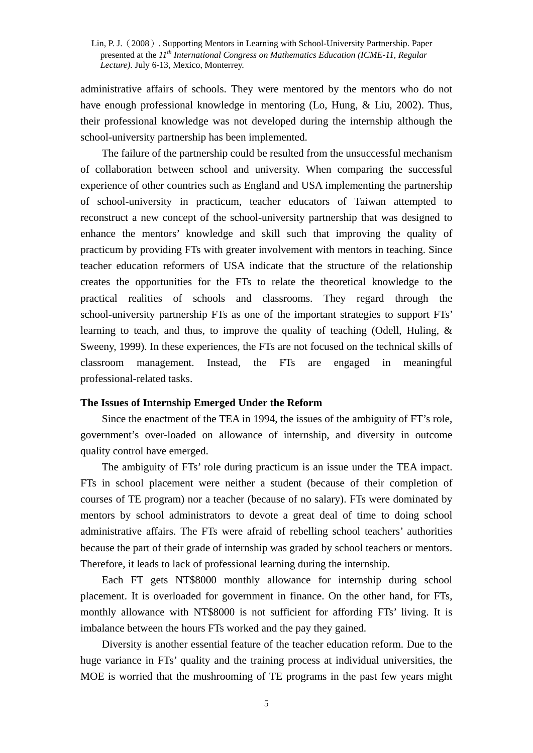administrative affairs of schools. They were mentored by the mentors who do not have enough professional knowledge in mentoring (Lo, Hung, & Liu, 2002). Thus, their professional knowledge was not developed during the internship although the school-university partnership has been implemented.

The failure of the partnership could be resulted from the unsuccessful mechanism of collaboration between school and university. When comparing the successful experience of other countries such as England and USA implementing the partnership of school-university in practicum, teacher educators of Taiwan attempted to reconstruct a new concept of the school-university partnership that was designed to enhance the mentors' knowledge and skill such that improving the quality of practicum by providing FTs with greater involvement with mentors in teaching. Since teacher education reformers of USA indicate that the structure of the relationship creates the opportunities for the FTs to relate the theoretical knowledge to the practical realities of schools and classrooms. They regard through the school-university partnership FTs as one of the important strategies to support FTs' learning to teach, and thus, to improve the quality of teaching (Odell, Huling, & Sweeny, 1999). In these experiences, the FTs are not focused on the technical skills of classroom management. Instead, the FTs are engaged in meaningful professional-related tasks.

#### **The Issues of Internship Emerged Under the Reform**

Since the enactment of the TEA in 1994, the issues of the ambiguity of FT's role, government's over-loaded on allowance of internship, and diversity in outcome quality control have emerged.

The ambiguity of FTs' role during practicum is an issue under the TEA impact. FTs in school placement were neither a student (because of their completion of courses of TE program) nor a teacher (because of no salary). FTs were dominated by mentors by school administrators to devote a great deal of time to doing school administrative affairs. The FTs were afraid of rebelling school teachers' authorities because the part of their grade of internship was graded by school teachers or mentors. Therefore, it leads to lack of professional learning during the internship.

Each FT gets NT\$8000 monthly allowance for internship during school placement. It is overloaded for government in finance. On the other hand, for FTs, monthly allowance with NT\$8000 is not sufficient for affording FTs' living. It is imbalance between the hours FTs worked and the pay they gained.

Diversity is another essential feature of the teacher education reform. Due to the huge variance in FTs' quality and the training process at individual universities, the MOE is worried that the mushrooming of TE programs in the past few years might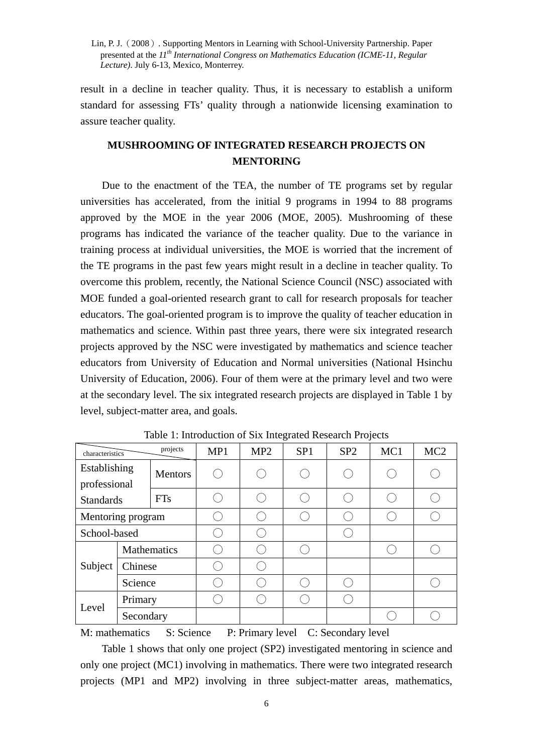result in a decline in teacher quality. Thus, it is necessary to establish a uniform standard for assessing FTs' quality through a nationwide licensing examination to assure teacher quality.

# **MUSHROOMING OF INTEGRATED RESEARCH PROJECTS ON MENTORING**

Due to the enactment of the TEA, the number of TE programs set by regular universities has accelerated, from the initial 9 programs in 1994 to 88 programs approved by the MOE in the year 2006 (MOE, 2005). Mushrooming of these programs has indicated the variance of the teacher quality. Due to the variance in training process at individual universities, the MOE is worried that the increment of the TE programs in the past few years might result in a decline in teacher quality. To overcome this problem, recently, the National Science Council (NSC) associated with MOE funded a goal-oriented research grant to call for research proposals for teacher educators. The goal-oriented program is to improve the quality of teacher education in mathematics and science. Within past three years, there were six integrated research projects approved by the NSC were investigated by mathematics and science teacher educators from University of Education and Normal universities (National Hsinchu University of Education, 2006). Four of them were at the primary level and two were at the secondary level. The six integrated research projects are displayed in Table 1 by level, subject-matter area, and goals.

| characteristics              |             | projects       | MP1 | MP <sub>2</sub> | SP <sub>1</sub> | SP <sub>2</sub> | MC1 | MC <sub>2</sub> |
|------------------------------|-------------|----------------|-----|-----------------|-----------------|-----------------|-----|-----------------|
| Establishing<br>professional |             | <b>Mentors</b> |     |                 |                 |                 |     |                 |
| <b>Standards</b>             |             | <b>FTs</b>     |     | $\mathcal{L}$   |                 |                 |     |                 |
| Mentoring program            |             |                |     |                 |                 |                 |     |                 |
| School-based                 |             |                |     |                 |                 |                 |     |                 |
|                              | Mathematics |                |     |                 |                 |                 |     |                 |
| Subject                      | Chinese     |                |     |                 |                 |                 |     |                 |
|                              | Science     |                |     |                 |                 |                 |     |                 |
| Level                        | Primary     |                |     |                 |                 |                 |     |                 |
|                              | Secondary   |                |     |                 |                 |                 |     |                 |

Table 1: Introduction of Six Integrated Research Projects

M: mathematics S: Science P: Primary level C: Secondary level

Table 1 shows that only one project (SP2) investigated mentoring in science and only one project (MC1) involving in mathematics. There were two integrated research projects (MP1 and MP2) involving in three subject-matter areas, mathematics,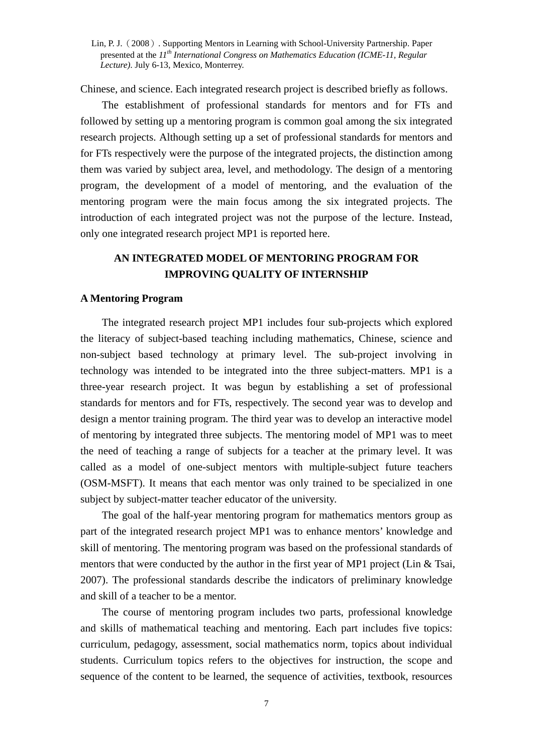Chinese, and science. Each integrated research project is described briefly as follows.

The establishment of professional standards for mentors and for FTs and followed by setting up a mentoring program is common goal among the six integrated research projects. Although setting up a set of professional standards for mentors and for FTs respectively were the purpose of the integrated projects, the distinction among them was varied by subject area, level, and methodology. The design of a mentoring program, the development of a model of mentoring, and the evaluation of the mentoring program were the main focus among the six integrated projects. The introduction of each integrated project was not the purpose of the lecture. Instead, only one integrated research project MP1 is reported here.

## **AN INTEGRATED MODEL OF MENTORING PROGRAM FOR IMPROVING QUALITY OF INTERNSHIP**

#### **A Mentoring Program**

The integrated research project MP1 includes four sub-projects which explored the literacy of subject-based teaching including mathematics, Chinese, science and non-subject based technology at primary level. The sub-project involving in technology was intended to be integrated into the three subject-matters. MP1 is a three-year research project. It was begun by establishing a set of professional standards for mentors and for FTs, respectively. The second year was to develop and design a mentor training program. The third year was to develop an interactive model of mentoring by integrated three subjects. The mentoring model of MP1 was to meet the need of teaching a range of subjects for a teacher at the primary level. It was called as a model of one-subject mentors with multiple-subject future teachers (OSM-MSFT). It means that each mentor was only trained to be specialized in one subject by subject-matter teacher educator of the university.

The goal of the half-year mentoring program for mathematics mentors group as part of the integrated research project MP1 was to enhance mentors' knowledge and skill of mentoring. The mentoring program was based on the professional standards of mentors that were conducted by the author in the first year of MP1 project (Lin & Tsai, 2007). The professional standards describe the indicators of preliminary knowledge and skill of a teacher to be a mentor.

The course of mentoring program includes two parts, professional knowledge and skills of mathematical teaching and mentoring. Each part includes five topics: curriculum, pedagogy, assessment, social mathematics norm, topics about individual students. Curriculum topics refers to the objectives for instruction, the scope and sequence of the content to be learned, the sequence of activities, textbook, resources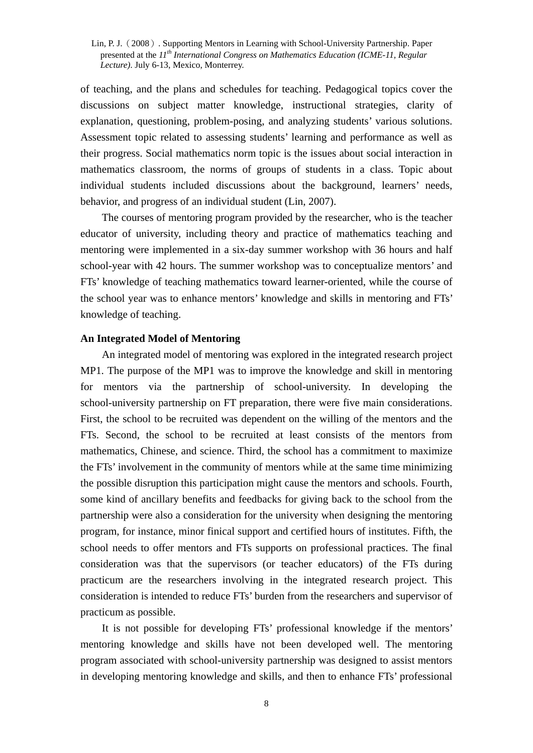of teaching, and the plans and schedules for teaching. Pedagogical topics cover the discussions on subject matter knowledge, instructional strategies, clarity of explanation, questioning, problem-posing, and analyzing students' various solutions. Assessment topic related to assessing students' learning and performance as well as their progress. Social mathematics norm topic is the issues about social interaction in mathematics classroom, the norms of groups of students in a class. Topic about individual students included discussions about the background, learners' needs, behavior, and progress of an individual student (Lin, 2007).

The courses of mentoring program provided by the researcher, who is the teacher educator of university, including theory and practice of mathematics teaching and mentoring were implemented in a six-day summer workshop with 36 hours and half school-year with 42 hours. The summer workshop was to conceptualize mentors' and FTs' knowledge of teaching mathematics toward learner-oriented, while the course of the school year was to enhance mentors' knowledge and skills in mentoring and FTs' knowledge of teaching.

#### **An Integrated Model of Mentoring**

An integrated model of mentoring was explored in the integrated research project MP1. The purpose of the MP1 was to improve the knowledge and skill in mentoring for mentors via the partnership of school-university. In developing the school-university partnership on FT preparation, there were five main considerations. First, the school to be recruited was dependent on the willing of the mentors and the FTs. Second, the school to be recruited at least consists of the mentors from mathematics, Chinese, and science. Third, the school has a commitment to maximize the FTs' involvement in the community of mentors while at the same time minimizing the possible disruption this participation might cause the mentors and schools. Fourth, some kind of ancillary benefits and feedbacks for giving back to the school from the partnership were also a consideration for the university when designing the mentoring program, for instance, minor finical support and certified hours of institutes. Fifth, the school needs to offer mentors and FTs supports on professional practices. The final consideration was that the supervisors (or teacher educators) of the FTs during practicum are the researchers involving in the integrated research project. This consideration is intended to reduce FTs' burden from the researchers and supervisor of practicum as possible.

It is not possible for developing FTs' professional knowledge if the mentors' mentoring knowledge and skills have not been developed well. The mentoring program associated with school-university partnership was designed to assist mentors in developing mentoring knowledge and skills, and then to enhance FTs' professional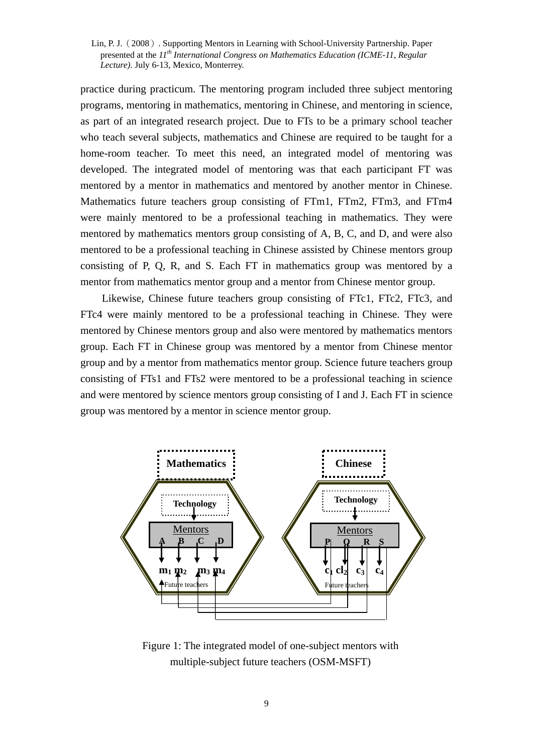Lin, P. J.(2008). Supporting Mentors in Learning with School-University Partnership. Paper presented at the *11th International Congress on Mathematics Education (ICME-11, Regular Lecture)*. July 6-13, Mexico, Monterrey.

practice during practicum. The mentoring program included three subject mentoring programs, mentoring in mathematics, mentoring in Chinese, and mentoring in science, as part of an integrated research project. Due to FTs to be a primary school teacher who teach several subjects, mathematics and Chinese are required to be taught for a home-room teacher. To meet this need, an integrated model of mentoring was developed. The integrated model of mentoring was that each participant FT was mentored by a mentor in mathematics and mentored by another mentor in Chinese. Mathematics future teachers group consisting of FTm1, FTm2, FTm3, and FTm4 were mainly mentored to be a professional teaching in mathematics. They were mentored by mathematics mentors group consisting of A, B, C, and D, and were also mentored to be a professional teaching in Chinese assisted by Chinese mentors group consisting of P, Q, R, and S. Each FT in mathematics group was mentored by a mentor from mathematics mentor group and a mentor from Chinese mentor group.

Likewise, Chinese future teachers group consisting of FTc1, FTc2, FTc3, and FTc4 were mainly mentored to be a professional teaching in Chinese. They were mentored by Chinese mentors group and also were mentored by mathematics mentors group. Each FT in Chinese group was mentored by a mentor from Chinese mentor group and by a mentor from mathematics mentor group. Science future teachers group consisting of FTs1 and FTs2 were mentored to be a professional teaching in science and were mentored by science mentors group consisting of I and J. Each FT in science group was mentored by a mentor in science mentor group.



Figure 1: The integrated model of one-subject mentors with multiple-subject future teachers (OSM-MSFT)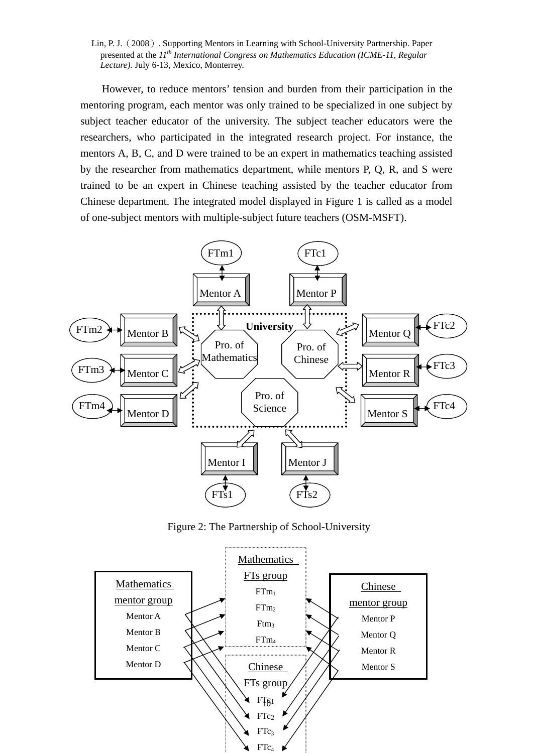Lin, P. J.(2008). Supporting Mentors in Learning with School-University Partnership. Paper presented at the *11th International Congress on Mathematics Education (ICME-11, Regular Lecture)*. July 6-13, Mexico, Monterrey.

However, to reduce mentors' tension and burden from their participation in the mentoring program, each mentor was only trained to be specialized in one subject by subject teacher educator of the university. The subject teacher educators were the researchers, who participated in the integrated research project. For instance, the mentors A, B, C, and D were trained to be an expert in mathematics teaching assisted by the researcher from mathematics department, while mentors P, Q, R, and S were trained to be an expert in Chinese teaching assisted by the teacher educator from Chinese department. The integrated model displayed in Figure 1 is called as a model of one-subject mentors with multiple-subject future teachers (OSM-MSFT).



Figure 2: The Partnership of School-University

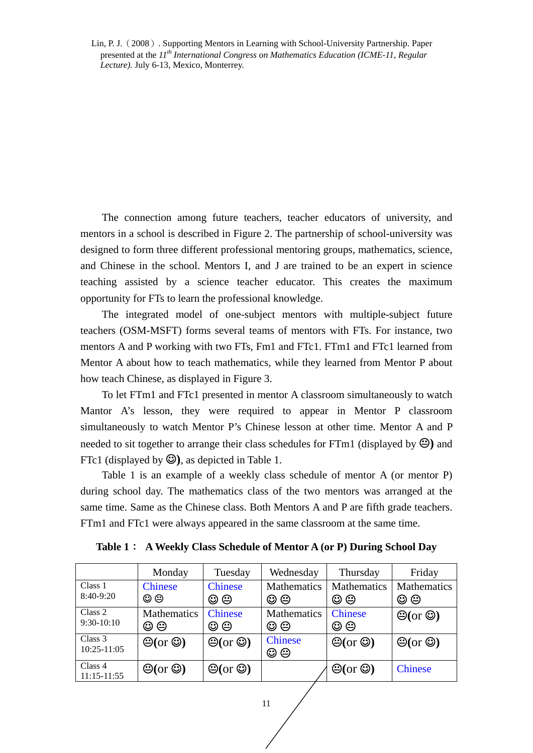The connection among future teachers, teacher educators of university, and mentors in a school is described in Figure 2. The partnership of school-university was designed to form three different professional mentoring groups, mathematics, science, and Chinese in the school. Mentors I, and J are trained to be an expert in science teaching assisted by a science teacher educator. This creates the maximum opportunity for FTs to learn the professional knowledge.

The integrated model of one-subject mentors with multiple-subject future teachers (OSM-MSFT) forms several teams of mentors with FTs. For instance, two mentors A and P working with two FTs, Fm1 and FTc1. FTm1 and FTc1 learned from Mentor A about how to teach mathematics, while they learned from Mentor P about how teach Chinese, as displayed in Figure 3.

To let FTm1 and FTc1 presented in mentor A classroom simultaneously to watch Mantor A's lesson, they were required to appear in Mentor P classroom simultaneously to watch Mentor P's Chinese lesson at other time. Mentor A and P needed to sit together to arrange their class schedules for FTm1 (displayed by  $\Theta$ ) and FTc1 (displayed by  $\mathcal{Q}$ ), as depicted in Table 1.

Table 1 is an example of a weekly class schedule of mentor A (or mentor P) during school day. The mathematics class of the two mentors was arranged at the same time. Same as the Chinese class. Both Mentors A and P are fifth grade teachers. FTm1 and FTc1 were always appeared in the same classroom at the same time.

|                            | Monday                                  | Tuesday                      | Wednesday                                     | Thursday                  | Friday                    |
|----------------------------|-----------------------------------------|------------------------------|-----------------------------------------------|---------------------------|---------------------------|
| Class 1<br>8:40-9:20       | <b>Chinese</b><br>00                    | <b>Chinese</b><br><b>© ව</b> | Mathematics<br>$\odot$ $\odot$                | <b>Mathematics</b><br>© O | Mathematics<br><b>© ව</b> |
| Class 2<br>$9:30-10:10$    | <b>Mathematics</b><br>© ©               | <b>Chinese</b><br>© ල        | Mathematics<br>$\mathop{\odot}\mathop{\odot}$ | <b>Chinese</b><br>© ©     | $\Theta$ (or $\Theta$ )   |
| Class 3<br>$10:25 - 11:05$ | $\Theta$ (or $\Theta$ )                 | $\Theta$ (or $\Theta$ )      | <b>Chinese</b><br>$\circledcirc$              | $\Theta$ (or $\Theta$ )   | $\Theta$ (or $\Theta$ )   |
| Class 4<br>$11:15-11:55$   | $\mathfrak{S}(\text{or}\,\mathfrak{S})$ | $\Theta$ (or $\Theta$ )      |                                               | $\Theta$ (or $\Theta$ )   | <b>Chinese</b>            |

**Table 1**: **A Weekly Class Schedule of Mentor A (or P) During School Day**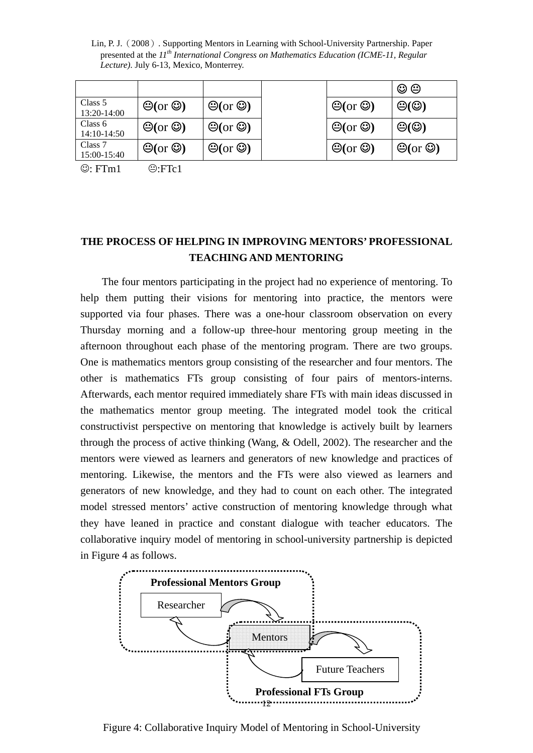Lin, P. J.(2008). Supporting Mentors in Learning with School-University Partnership. Paper presented at the *11th International Congress on Mathematics Education (ICME-11, Regular Lecture)*. July 6-13, Mexico, Monterrey.

|                        |                         |                         |                         | $\mathop{\circledcirc}$ |
|------------------------|-------------------------|-------------------------|-------------------------|-------------------------|
| Class 5<br>13:20-14:00 | $\Theta$ (or $\Theta$ ) | $\Theta$ (or $\Theta$ ) | $\Theta$ (or $\Theta$ ) | $\Theta(\Theta)$        |
| Class 6<br>14:10-14:50 | $\Theta$ (or $\Theta$ ) | $\Theta$ (or $\Theta$ ) | $\Theta$ (or $\Theta$ ) | $\Theta(\Theta)$        |
| Class 7<br>15:00-15:40 | $\Theta$ (or $\Theta$ ) | $\Theta$ (or $\Theta$ ) | $\Theta$ (or $\Theta$ ) | $\Theta$ (or $\Theta$ ) |

 $\circledcirc$ : FTm1  $\circledcirc$ : FTc1

# **THE PROCESS OF HELPING IN IMPROVING MENTORS' PROFESSIONAL TEACHING AND MENTORING**

The four mentors participating in the project had no experience of mentoring. To help them putting their visions for mentoring into practice, the mentors were supported via four phases. There was a one-hour classroom observation on every Thursday morning and a follow-up three-hour mentoring group meeting in the afternoon throughout each phase of the mentoring program. There are two groups. One is mathematics mentors group consisting of the researcher and four mentors. The other is mathematics FTs group consisting of four pairs of mentors-interns. Afterwards, each mentor required immediately share FTs with main ideas discussed in the mathematics mentor group meeting. The integrated model took the critical constructivist perspective on mentoring that knowledge is actively built by learners through the process of active thinking (Wang, & Odell, 2002). The researcher and the mentors were viewed as learners and generators of new knowledge and practices of mentoring. Likewise, the mentors and the FTs were also viewed as learners and generators of new knowledge, and they had to count on each other. The integrated model stressed mentors' active construction of mentoring knowledge through what they have leaned in practice and constant dialogue with teacher educators. The collaborative inquiry model of mentoring in school-university partnership is depicted in Figure 4 as follows.



Figure 4: Collaborative Inquiry Model of Mentoring in School-University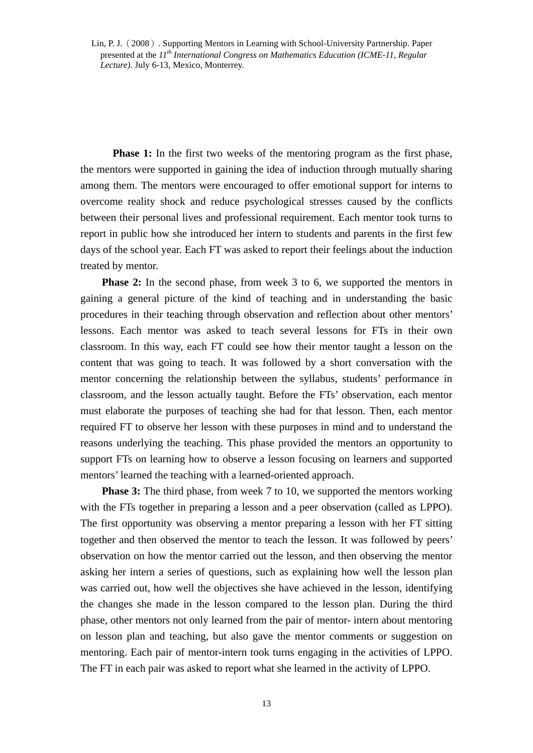**Phase 1:** In the first two weeks of the mentoring program as the first phase, the mentors were supported in gaining the idea of induction through mutually sharing among them. The mentors were encouraged to offer emotional support for interns to overcome reality shock and reduce psychological stresses caused by the conflicts between their personal lives and professional requirement. Each mentor took turns to report in public how she introduced her intern to students and parents in the first few days of the school year. Each FT was asked to report their feelings about the induction treated by mentor.

**Phase 2:** In the second phase, from week 3 to 6, we supported the mentors in gaining a general picture of the kind of teaching and in understanding the basic procedures in their teaching through observation and reflection about other mentors' lessons. Each mentor was asked to teach several lessons for FTs in their own classroom. In this way, each FT could see how their mentor taught a lesson on the content that was going to teach. It was followed by a short conversation with the mentor concerning the relationship between the syllabus, students' performance in classroom, and the lesson actually taught. Before the FTs' observation, each mentor must elaborate the purposes of teaching she had for that lesson. Then, each mentor required FT to observe her lesson with these purposes in mind and to understand the reasons underlying the teaching. This phase provided the mentors an opportunity to support FTs on learning how to observe a lesson focusing on learners and supported mentors' learned the teaching with a learned-oriented approach.

**Phase 3:** The third phase, from week 7 to 10, we supported the mentors working with the FTs together in preparing a lesson and a peer observation (called as LPPO). The first opportunity was observing a mentor preparing a lesson with her FT sitting together and then observed the mentor to teach the lesson. It was followed by peers' observation on how the mentor carried out the lesson, and then observing the mentor asking her intern a series of questions, such as explaining how well the lesson plan was carried out, how well the objectives she have achieved in the lesson, identifying the changes she made in the lesson compared to the lesson plan. During the third phase, other mentors not only learned from the pair of mentor- intern about mentoring on lesson plan and teaching, but also gave the mentor comments or suggestion on mentoring. Each pair of mentor-intern took turns engaging in the activities of LPPO. The FT in each pair was asked to report what she learned in the activity of LPPO.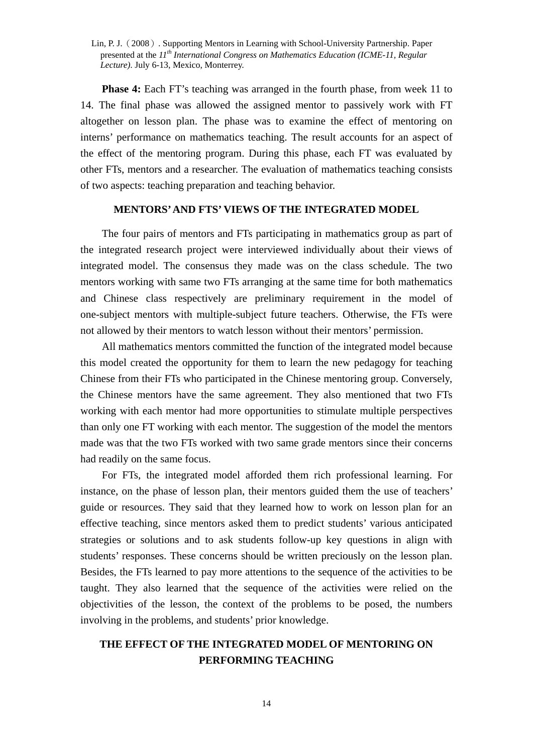**Phase 4:** Each FT's teaching was arranged in the fourth phase, from week 11 to 14. The final phase was allowed the assigned mentor to passively work with FT altogether on lesson plan. The phase was to examine the effect of mentoring on interns' performance on mathematics teaching. The result accounts for an aspect of the effect of the mentoring program. During this phase, each FT was evaluated by other FTs, mentors and a researcher. The evaluation of mathematics teaching consists of two aspects: teaching preparation and teaching behavior.

#### **MENTORS' AND FTS' VIEWS OF THE INTEGRATED MODEL**

The four pairs of mentors and FTs participating in mathematics group as part of the integrated research project were interviewed individually about their views of integrated model. The consensus they made was on the class schedule. The two mentors working with same two FTs arranging at the same time for both mathematics and Chinese class respectively are preliminary requirement in the model of one-subject mentors with multiple-subject future teachers. Otherwise, the FTs were not allowed by their mentors to watch lesson without their mentors' permission.

All mathematics mentors committed the function of the integrated model because this model created the opportunity for them to learn the new pedagogy for teaching Chinese from their FTs who participated in the Chinese mentoring group. Conversely, the Chinese mentors have the same agreement. They also mentioned that two FTs working with each mentor had more opportunities to stimulate multiple perspectives than only one FT working with each mentor. The suggestion of the model the mentors made was that the two FTs worked with two same grade mentors since their concerns had readily on the same focus.

 For FTs, the integrated model afforded them rich professional learning. For instance, on the phase of lesson plan, their mentors guided them the use of teachers' guide or resources. They said that they learned how to work on lesson plan for an effective teaching, since mentors asked them to predict students' various anticipated strategies or solutions and to ask students follow-up key questions in align with students' responses. These concerns should be written preciously on the lesson plan. Besides, the FTs learned to pay more attentions to the sequence of the activities to be taught. They also learned that the sequence of the activities were relied on the objectivities of the lesson, the context of the problems to be posed, the numbers involving in the problems, and students' prior knowledge.

# **THE EFFECT OF THE INTEGRATED MODEL OF MENTORING ON PERFORMING TEACHING**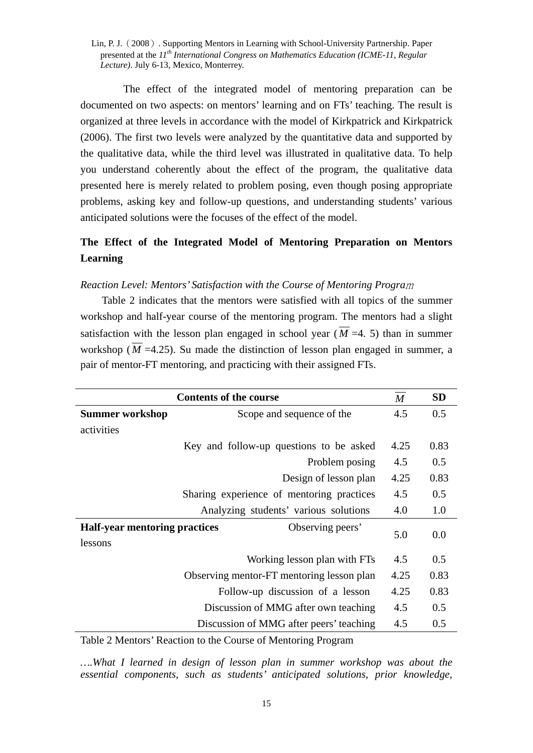The effect of the integrated model of mentoring preparation can be documented on two aspects: on mentors' learning and on FTs' teaching. The result is organized at three levels in accordance with the model of Kirkpatrick and Kirkpatrick (2006). The first two levels were analyzed by the quantitative data and supported by the qualitative data, while the third level was illustrated in qualitative data. To help you understand coherently about the effect of the program, the qualitative data presented here is merely related to problem posing, even though posing appropriate problems, asking key and follow-up questions, and understanding students' various anticipated solutions were the focuses of the effect of the model.

# **The Effect of the Integrated Model of Mentoring Preparation on Mentors Learning**

#### *Reaction Level: Mentors' Satisfaction with the Course of Mentoring Progra*<sup>m</sup>

Table 2 indicates that the mentors were satisfied with all topics of the summer workshop and half-year course of the mentoring program. The mentors had a slight satisfaction with the lesson plan engaged in school year ( $\overline{M}$  =4. 5) than in summer workshop ( $\overline{M}$  =4.25). Su made the distinction of lesson plan engaged in summer, a pair of mentor-FT mentoring, and practicing with their assigned FTs.

|                                                          | <b>Contents of the course</b>             |                                           | $\boldsymbol{M}$ | <b>SD</b> |
|----------------------------------------------------------|-------------------------------------------|-------------------------------------------|------------------|-----------|
| <b>Summer workshop</b>                                   |                                           | Scope and sequence of the                 | 4.5              | 0.5       |
| activities                                               |                                           |                                           |                  |           |
|                                                          |                                           | Key and follow-up questions to be asked   | 4.25             | 0.83      |
|                                                          |                                           | Problem posing                            | 4.5              | 0.5       |
|                                                          |                                           | Design of lesson plan                     | 4.25             | 0.83      |
|                                                          | Sharing experience of mentoring practices |                                           |                  |           |
| Analyzing students' various solutions                    |                                           |                                           |                  | 1.0       |
| <b>Half-year mentoring practices</b><br>Observing peers' |                                           |                                           | 5.0              | 0.0       |
| lessons                                                  |                                           |                                           |                  |           |
|                                                          |                                           | Working lesson plan with FTs              | 4.5              | 0.5       |
|                                                          |                                           | Observing mentor-FT mentoring lesson plan | 4.25             | 0.83      |
| Follow-up discussion of a lesson                         |                                           | 4.25                                      | 0.83             |           |
|                                                          |                                           | Discussion of MMG after own teaching      | 4.5              | 0.5       |
|                                                          |                                           | Discussion of MMG after peers' teaching   | 4.5              | 0.5       |
|                                                          |                                           |                                           |                  |           |

Table 2 Mentors' Reaction to the Course of Mentoring Program

*….What I learned in design of lesson plan in summer workshop was about the essential components, such as students' anticipated solutions, prior knowledge,*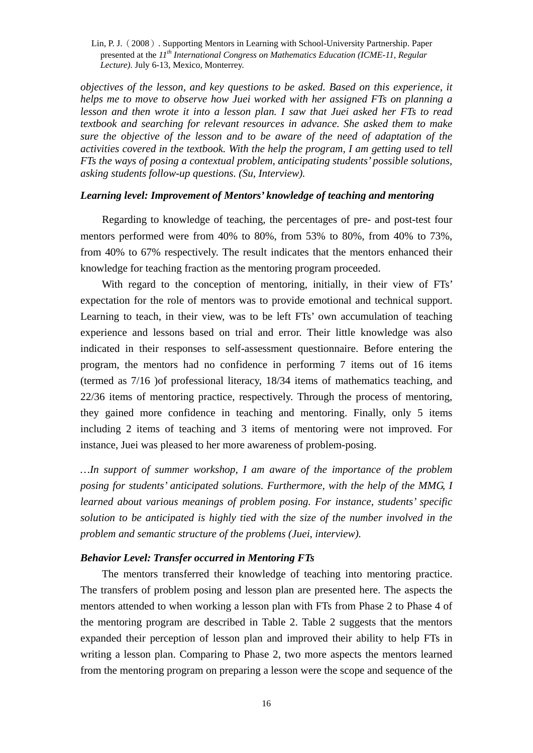*objectives of the lesson, and key questions to be asked. Based on this experience, it helps me to move to observe how Juei worked with her assigned FTs on planning a lesson and then wrote it into a lesson plan. I saw that Juei asked her FTs to read textbook and searching for relevant resources in advance. She asked them to make sure the objective of the lesson and to be aware of the need of adaptation of the activities covered in the textbook. With the help the program, I am getting used to tell FTs the ways of posing a contextual problem, anticipating students' possible solutions, asking students follow-up questions. (Su, Interview).* 

#### *Learning level: Improvement of Mentors' knowledge of teaching and mentoring*

Regarding to knowledge of teaching, the percentages of pre- and post-test four mentors performed were from 40% to 80%, from 53% to 80%, from 40% to 73%, from 40% to 67% respectively. The result indicates that the mentors enhanced their knowledge for teaching fraction as the mentoring program proceeded.

With regard to the conception of mentoring, initially, in their view of FTs' expectation for the role of mentors was to provide emotional and technical support. Learning to teach, in their view, was to be left FTs' own accumulation of teaching experience and lessons based on trial and error. Their little knowledge was also indicated in their responses to self-assessment questionnaire. Before entering the program, the mentors had no confidence in performing 7 items out of 16 items (termed as 7/16 )of professional literacy, 18/34 items of mathematics teaching, and 22/36 items of mentoring practice, respectively. Through the process of mentoring, they gained more confidence in teaching and mentoring. Finally, only 5 items including 2 items of teaching and 3 items of mentoring were not improved. For instance, Juei was pleased to her more awareness of problem-posing.

*…In support of summer workshop, I am aware of the importance of the problem posing for students' anticipated solutions. Furthermore, with the help of the MMG, I learned about various meanings of problem posing. For instance, students' specific solution to be anticipated is highly tied with the size of the number involved in the problem and semantic structure of the problems (Juei, interview).* 

#### *Behavior Level: Transfer occurred in Mentoring FTs*

The mentors transferred their knowledge of teaching into mentoring practice. The transfers of problem posing and lesson plan are presented here. The aspects the mentors attended to when working a lesson plan with FTs from Phase 2 to Phase 4 of the mentoring program are described in Table 2. Table 2 suggests that the mentors expanded their perception of lesson plan and improved their ability to help FTs in writing a lesson plan. Comparing to Phase 2, two more aspects the mentors learned from the mentoring program on preparing a lesson were the scope and sequence of the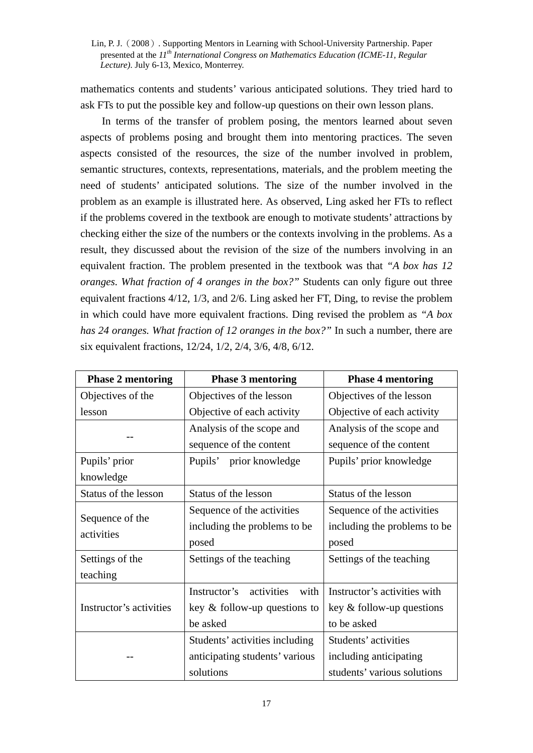mathematics contents and students' various anticipated solutions. They tried hard to ask FTs to put the possible key and follow-up questions on their own lesson plans.

In terms of the transfer of problem posing, the mentors learned about seven aspects of problems posing and brought them into mentoring practices. The seven aspects consisted of the resources, the size of the number involved in problem, semantic structures, contexts, representations, materials, and the problem meeting the need of students' anticipated solutions. The size of the number involved in the problem as an example is illustrated here. As observed, Ling asked her FTs to reflect if the problems covered in the textbook are enough to motivate students' attractions by checking either the size of the numbers or the contexts involving in the problems. As a result, they discussed about the revision of the size of the numbers involving in an equivalent fraction. The problem presented in the textbook was that *"A box has 12 oranges. What fraction of 4 oranges in the box?"* Students can only figure out three equivalent fractions 4/12, 1/3, and 2/6. Ling asked her FT, Ding, to revise the problem in which could have more equivalent fractions. Ding revised the problem as *"A box has 24 oranges. What fraction of 12 oranges in the box?"* In such a number, there are six equivalent fractions, 12/24, 1/2, 2/4, 3/6, 4/8, 6/12.

| <b>Phase 2 mentoring</b>      | <b>Phase 3 mentoring</b>           | <b>Phase 4 mentoring</b>     |  |  |
|-------------------------------|------------------------------------|------------------------------|--|--|
| Objectives of the             | Objectives of the lesson           | Objectives of the lesson     |  |  |
| lesson                        | Objective of each activity         | Objective of each activity   |  |  |
|                               | Analysis of the scope and          | Analysis of the scope and    |  |  |
|                               | sequence of the content            | sequence of the content      |  |  |
| Pupils' prior                 | Pupils' prior knowledge            | Pupils' prior knowledge      |  |  |
| knowledge                     |                                    |                              |  |  |
| Status of the lesson          | Status of the lesson               | Status of the lesson         |  |  |
|                               | Sequence of the activities         | Sequence of the activities   |  |  |
| Sequence of the<br>activities | including the problems to be       | including the problems to be |  |  |
|                               | posed                              | posed                        |  |  |
| Settings of the               | Settings of the teaching           | Settings of the teaching     |  |  |
| teaching                      |                                    |                              |  |  |
|                               | activities<br>Instructor's<br>with | Instructor's activities with |  |  |
| Instructor's activities       | key $&$ follow-up questions to     | key $&$ follow-up questions  |  |  |
|                               | be asked                           | to be asked                  |  |  |
|                               | Students' activities including     | Students' activities         |  |  |
|                               | anticipating students' various     | including anticipating       |  |  |
|                               | solutions                          | students' various solutions  |  |  |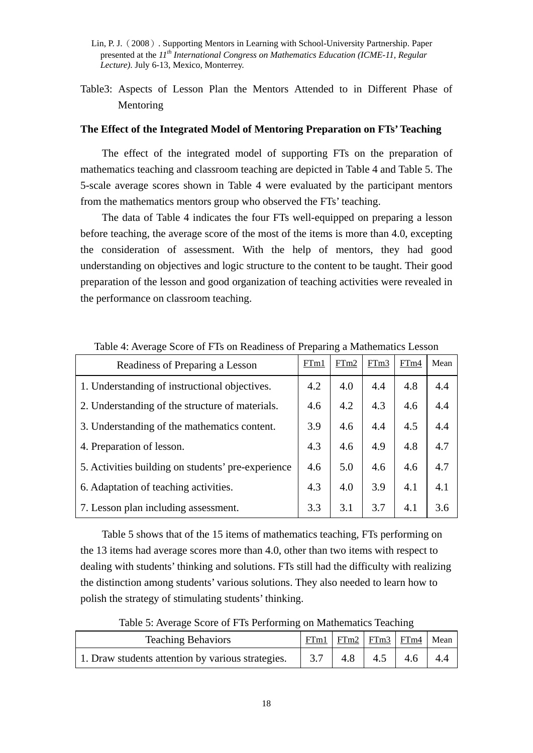Table3: Aspects of Lesson Plan the Mentors Attended to in Different Phase of Mentoring

#### **The Effect of the Integrated Model of Mentoring Preparation on FTs' Teaching**

The effect of the integrated model of supporting FTs on the preparation of mathematics teaching and classroom teaching are depicted in Table 4 and Table 5. The 5-scale average scores shown in Table 4 were evaluated by the participant mentors from the mathematics mentors group who observed the FTs' teaching.

The data of Table 4 indicates the four FTs well-equipped on preparing a lesson before teaching, the average score of the most of the items is more than 4.0, excepting the consideration of assessment. With the help of mentors, they had good understanding on objectives and logic structure to the content to be taught. Their good preparation of the lesson and good organization of teaching activities were revealed in the performance on classroom teaching.

| Readiness of Preparing a Lesson                    | FTm1 | FTm2 | FTm <sub>3</sub> | FTm4 | Mean |
|----------------------------------------------------|------|------|------------------|------|------|
| 1. Understanding of instructional objectives.      | 4.2  | 4.0  | 4.4              | 4.8  | 4.4  |
| 2. Understanding of the structure of materials.    | 4.6  | 4.2  | 4.3              | 4.6  | 4.4  |
| 3. Understanding of the mathematics content.       | 3.9  | 4.6  | 4.4              | 4.5  | 4.4  |
| 4. Preparation of lesson.                          | 4.3  | 4.6  | 4.9              | 4.8  | 4.7  |
| 5. Activities building on students' pre-experience | 4.6  | 5.0  | 4.6              | 4.6  | 4.7  |
| 6. Adaptation of teaching activities.              | 4.3  | 4.0  | 3.9              | 4.1  | 4.1  |
| 7. Lesson plan including assessment.               | 3.3  | 3.1  | 3.7              | 4.1  | 3.6  |

Table 4: Average Score of FTs on Readiness of Preparing a Mathematics Lesson

Table 5 shows that of the 15 items of mathematics teaching, FTs performing on the 13 items had average scores more than 4.0, other than two items with respect to dealing with students' thinking and solutions. FTs still had the difficulty with realizing the distinction among students' various solutions. They also needed to learn how to polish the strategy of stimulating students' thinking.

Table 5: Average Score of FTs Performing on Mathematics Teaching

| <b>Teaching Behaviors</b>                         |     |     | $FTm1$ $FTm2$ $FTm3$ $FTm4$ Mean |     |
|---------------------------------------------------|-----|-----|----------------------------------|-----|
| 1. Draw students attention by various strategies. | 4.8 | 4.5 | 4.6                              | 4.4 |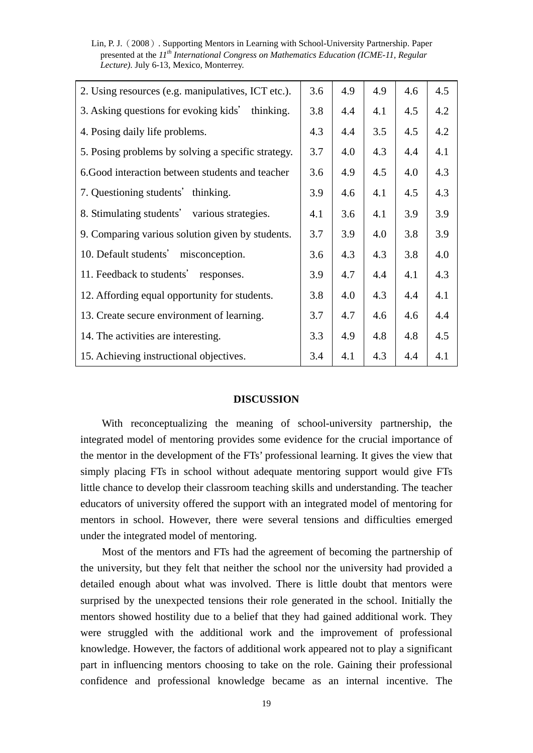Lin, P. J.(2008). Supporting Mentors in Learning with School-University Partnership. Paper presented at the *11th International Congress on Mathematics Education (ICME-11, Regular Lecture)*. July 6-13, Mexico, Monterrey.

| 2. Using resources (e.g. manipulatives, ICT etc.). | 3.6 | 4.9 | 4.9 | 4.6 | 4.5 |
|----------------------------------------------------|-----|-----|-----|-----|-----|
| 3. Asking questions for evoking kids'<br>thinking. | 3.8 | 4.4 | 4.1 | 4.5 | 4.2 |
| 4. Posing daily life problems.                     | 4.3 | 4.4 | 3.5 | 4.5 | 4.2 |
| 5. Posing problems by solving a specific strategy. | 3.7 | 4.0 | 4.3 | 4.4 | 4.1 |
| 6. Good interaction between students and teacher   | 3.6 | 4.9 | 4.5 | 4.0 | 4.3 |
| 7. Questioning students' thinking.                 | 3.9 | 4.6 | 4.1 | 4.5 | 4.3 |
| 8. Stimulating students' various strategies.       | 4.1 | 3.6 | 4.1 | 3.9 | 3.9 |
| 9. Comparing various solution given by students.   | 3.7 | 3.9 | 4.0 | 3.8 | 3.9 |
| 10. Default students' misconception.               | 3.6 | 4.3 | 4.3 | 3.8 | 4.0 |
| 11. Feedback to students'<br>responses.            | 3.9 | 4.7 | 4.4 | 4.1 | 4.3 |
| 12. Affording equal opportunity for students.      | 3.8 | 4.0 | 4.3 | 4.4 | 4.1 |
| 13. Create secure environment of learning.         | 3.7 | 4.7 | 4.6 | 4.6 | 4.4 |
| 14. The activities are interesting.                | 3.3 | 4.9 | 4.8 | 4.8 | 4.5 |
| 15. Achieving instructional objectives.            | 3.4 | 4.1 | 4.3 | 4.4 | 4.1 |

#### **DISCUSSION**

With reconceptualizing the meaning of school-university partnership, the integrated model of mentoring provides some evidence for the crucial importance of the mentor in the development of the FTs' professional learning. It gives the view that simply placing FTs in school without adequate mentoring support would give FTs little chance to develop their classroom teaching skills and understanding. The teacher educators of university offered the support with an integrated model of mentoring for mentors in school. However, there were several tensions and difficulties emerged under the integrated model of mentoring.

Most of the mentors and FTs had the agreement of becoming the partnership of the university, but they felt that neither the school nor the university had provided a detailed enough about what was involved. There is little doubt that mentors were surprised by the unexpected tensions their role generated in the school. Initially the mentors showed hostility due to a belief that they had gained additional work. They were struggled with the additional work and the improvement of professional knowledge. However, the factors of additional work appeared not to play a significant part in influencing mentors choosing to take on the role. Gaining their professional confidence and professional knowledge became as an internal incentive. The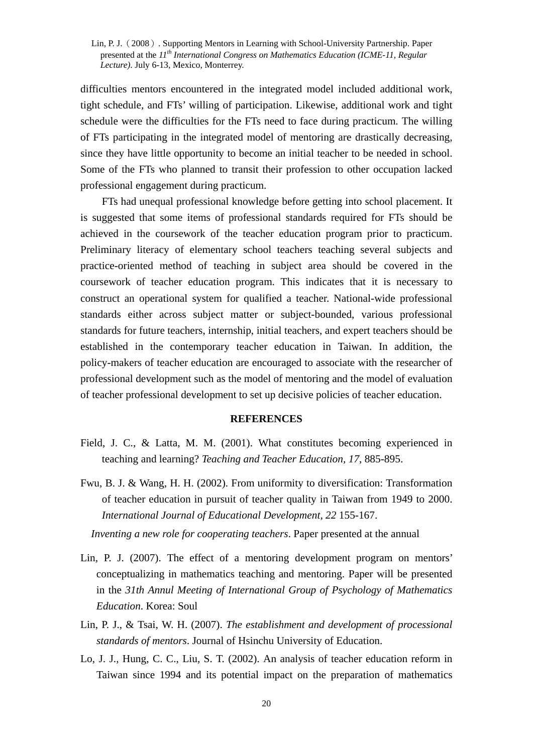difficulties mentors encountered in the integrated model included additional work, tight schedule, and FTs' willing of participation. Likewise, additional work and tight schedule were the difficulties for the FTs need to face during practicum. The willing of FTs participating in the integrated model of mentoring are drastically decreasing, since they have little opportunity to become an initial teacher to be needed in school. Some of the FTs who planned to transit their profession to other occupation lacked professional engagement during practicum.

 FTs had unequal professional knowledge before getting into school placement. It is suggested that some items of professional standards required for FTs should be achieved in the coursework of the teacher education program prior to practicum. Preliminary literacy of elementary school teachers teaching several subjects and practice-oriented method of teaching in subject area should be covered in the coursework of teacher education program. This indicates that it is necessary to construct an operational system for qualified a teacher. National-wide professional standards either across subject matter or subject-bounded, various professional standards for future teachers, internship, initial teachers, and expert teachers should be established in the contemporary teacher education in Taiwan. In addition, the policy-makers of teacher education are encouraged to associate with the researcher of professional development such as the model of mentoring and the model of evaluation of teacher professional development to set up decisive policies of teacher education.

#### **REFERENCES**

- Field, J. C., & Latta, M. M. (2001). What constitutes becoming experienced in teaching and learning? *Teaching and Teacher Education, 17*, 885-895.
- Fwu, B. J. & Wang, H. H. (2002). From uniformity to diversification: Transformation of teacher education in pursuit of teacher quality in Taiwan from 1949 to 2000. *International Journal of Educational Development, 22* 155-167.
	- *Inventing a new role for cooperating teachers*. Paper presented at the annual
- Lin, P. J. (2007). The effect of a mentoring development program on mentors' conceptualizing in mathematics teaching and mentoring. Paper will be presented in the *31th Annul Meeting of International Group of Psychology of Mathematics Education*. Korea: Soul
- Lin, P. J., & Tsai, W. H. (2007). *The establishment and development of processional standards of mentors*. Journal of Hsinchu University of Education.
- Lo, J. J., Hung, C. C., Liu, S. T. (2002). An analysis of teacher education reform in Taiwan since 1994 and its potential impact on the preparation of mathematics